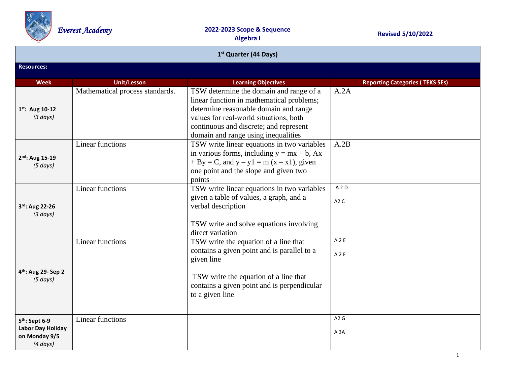

| 1 <sup>st</sup> Quarter (44 Days)                                                 |                                 |                                                                                                                                                                                                                                                          |                                        |  |  |
|-----------------------------------------------------------------------------------|---------------------------------|----------------------------------------------------------------------------------------------------------------------------------------------------------------------------------------------------------------------------------------------------------|----------------------------------------|--|--|
| <b>Resources:</b>                                                                 |                                 |                                                                                                                                                                                                                                                          |                                        |  |  |
| <b>Week</b>                                                                       | <b>Unit/Lesson</b>              | <b>Learning Objectives</b>                                                                                                                                                                                                                               | <b>Reporting Categories (TEKS SEs)</b> |  |  |
| $1^{st}$ : Aug 10-12<br>(3 days)                                                  | Mathematical process standards. | TSW determine the domain and range of a<br>linear function in mathematical problems;<br>determine reasonable domain and range<br>values for real-world situations, both<br>continuous and discrete; and represent<br>domain and range using inequalities | A.2A                                   |  |  |
| 2 <sup>nd</sup> : Aug 15-19<br>(5 days)                                           | <b>Linear functions</b>         | TSW write linear equations in two variables<br>in various forms, including $y = mx + b$ , Ax<br>$+ By = C$ , and $y - y1 = m(x - x1)$ , given<br>one point and the slope and given two<br>points                                                         | A.2B                                   |  |  |
| 3rd: Aug 22-26<br>(3 days)                                                        | <b>Linear functions</b>         | TSW write linear equations in two variables<br>given a table of values, a graph, and a<br>verbal description<br>TSW write and solve equations involving<br>direct variation                                                                              | A <sub>2</sub> D<br>A <sub>2</sub> C   |  |  |
| 4 <sup>th</sup> : Aug 29- Sep 2<br>(5 days)                                       | Linear functions                | TSW write the equation of a line that<br>contains a given point and is parallel to a<br>given line<br>TSW write the equation of a line that<br>contains a given point and is perpendicular<br>to a given line                                            | A2E<br>A2F                             |  |  |
| 5 <sup>th</sup> : Sept 6-9<br>Labor Day Holiday<br>on Monday 9/5<br>$(4 \, days)$ | <b>Linear functions</b>         |                                                                                                                                                                                                                                                          | A2G<br>A <sub>3</sub> A                |  |  |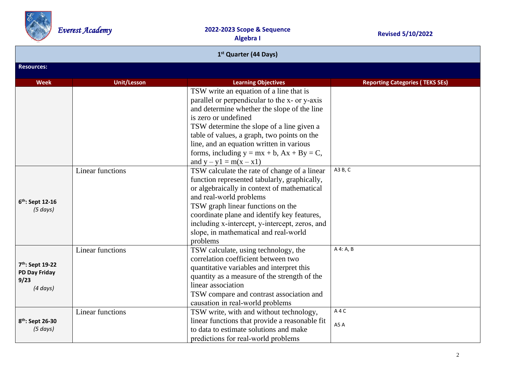

| 1 <sup>st</sup> Quarter (44 Days)                                |                         |                                                                                                                                                                                                                                                                                                                                                                                        |                                        |
|------------------------------------------------------------------|-------------------------|----------------------------------------------------------------------------------------------------------------------------------------------------------------------------------------------------------------------------------------------------------------------------------------------------------------------------------------------------------------------------------------|----------------------------------------|
| <b>Resources:</b>                                                |                         |                                                                                                                                                                                                                                                                                                                                                                                        |                                        |
| <b>Week</b>                                                      | <b>Unit/Lesson</b>      | <b>Learning Objectives</b>                                                                                                                                                                                                                                                                                                                                                             | <b>Reporting Categories (TEKS SEs)</b> |
|                                                                  |                         | TSW write an equation of a line that is<br>parallel or perpendicular to the x- or y-axis<br>and determine whether the slope of the line<br>is zero or undefined<br>TSW determine the slope of a line given a<br>table of values, a graph, two points on the<br>line, and an equation written in various<br>forms, including $y = mx + b$ , $Ax + By = C$ ,<br>and $y - y1 = m(x - x1)$ |                                        |
| 6 <sup>th</sup> : Sept 12-16<br>(5 days)                         | Linear functions        | TSW calculate the rate of change of a linear<br>function represented tabularly, graphically,<br>or algebraically in context of mathematical<br>and real-world problems<br>TSW graph linear functions on the<br>coordinate plane and identify key features,<br>including x-intercept, y-intercept, zeros, and<br>slope, in mathematical and real-world<br>problems                      | A3 B, C                                |
| 7th: Sept 19-22<br><b>PD Day Friday</b><br>9/23<br>$(4 \, days)$ | Linear functions        | TSW calculate, using technology, the<br>correlation coefficient between two<br>quantitative variables and interpret this<br>quantity as a measure of the strength of the<br>linear association<br>TSW compare and contrast association and<br>causation in real-world problems                                                                                                         | A 4: A, B                              |
| 8 <sup>th</sup> : Sept 26-30<br>(5 days)                         | <b>Linear functions</b> | TSW write, with and without technology,<br>linear functions that provide a reasonable fit<br>to data to estimate solutions and make<br>predictions for real-world problems                                                                                                                                                                                                             | A4C<br>A5A                             |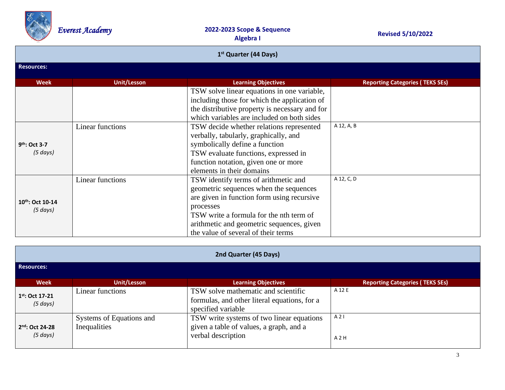

| 1 <sup>st</sup> Quarter (44 Days)          |                         |                                                                                                                                                                                                                                                                          |                                        |  |
|--------------------------------------------|-------------------------|--------------------------------------------------------------------------------------------------------------------------------------------------------------------------------------------------------------------------------------------------------------------------|----------------------------------------|--|
| <b>Resources:</b>                          |                         |                                                                                                                                                                                                                                                                          |                                        |  |
| Week                                       | Unit/Lesson             | <b>Learning Objectives</b>                                                                                                                                                                                                                                               | <b>Reporting Categories (TEKS SEs)</b> |  |
|                                            |                         | TSW solve linear equations in one variable,<br>including those for which the application of<br>the distributive property is necessary and for<br>which variables are included on both sides                                                                              |                                        |  |
| 9 <sup>th</sup> : Oct 3-7<br>$(5 \, days)$ | <b>Linear functions</b> | TSW decide whether relations represented<br>verbally, tabularly, graphically, and<br>symbolically define a function<br>TSW evaluate functions, expressed in<br>function notation, given one or more<br>elements in their domains                                         | A 12, A, B                             |  |
| 10 <sup>th</sup> : Oct 10-14<br>(5 days)   | Linear functions        | TSW identify terms of arithmetic and<br>geometric sequences when the sequences<br>are given in function form using recursive<br>processes<br>TSW write a formula for the nth term of<br>arithmetic and geometric sequences, given<br>the value of several of their terms | A 12, C, D                             |  |

| 2nd Quarter (45 Days)                 |                                          |                                                                                                            |                                        |  |
|---------------------------------------|------------------------------------------|------------------------------------------------------------------------------------------------------------|----------------------------------------|--|
| <b>Resources:</b>                     |                                          |                                                                                                            |                                        |  |
| Week                                  | <b>Unit/Lesson</b>                       | <b>Learning Objectives</b>                                                                                 | <b>Reporting Categories (TEKS SEs)</b> |  |
| $1^{st}$ : Oct 17-21<br>$(5 \, days)$ | Linear functions                         | TSW solve mathematic and scientific<br>formulas, and other literal equations, for a<br>specified variable  | A 12 E                                 |  |
| 2nd: Oct 24-28<br>$(5 \, days)$       | Systems of Equations and<br>Inequalities | TSW write systems of two linear equations<br>given a table of values, a graph, and a<br>verbal description | A21<br>A2H                             |  |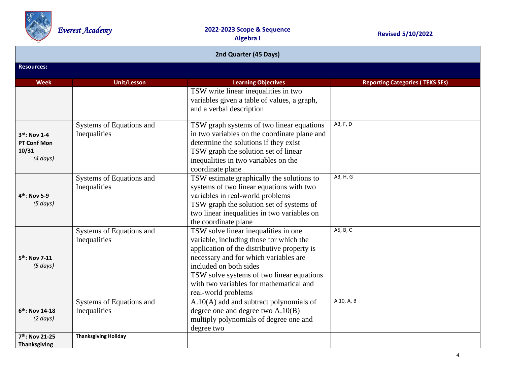

| 2nd Quarter (45 Days)                                        |                                          |                                                                                                                                                                                                                                                                                                                  |                                        |
|--------------------------------------------------------------|------------------------------------------|------------------------------------------------------------------------------------------------------------------------------------------------------------------------------------------------------------------------------------------------------------------------------------------------------------------|----------------------------------------|
| <b>Resources:</b>                                            |                                          |                                                                                                                                                                                                                                                                                                                  |                                        |
| <b>Week</b>                                                  | <b>Unit/Lesson</b>                       | <b>Learning Objectives</b>                                                                                                                                                                                                                                                                                       | <b>Reporting Categories (TEKS SEs)</b> |
|                                                              |                                          | TSW write linear inequalities in two<br>variables given a table of values, a graph,<br>and a verbal description                                                                                                                                                                                                  |                                        |
| 3rd: Nov 1-4<br><b>PT Conf Mon</b><br>10/31<br>$(4 \, days)$ | Systems of Equations and<br>Inequalities | TSW graph systems of two linear equations<br>in two variables on the coordinate plane and<br>determine the solutions if they exist<br>TSW graph the solution set of linear<br>inequalities in two variables on the<br>coordinate plane                                                                           | A3, F, D                               |
| $4th$ : Nov 5-9<br>(5 days)                                  | Systems of Equations and<br>Inequalities | TSW estimate graphically the solutions to<br>systems of two linear equations with two<br>variables in real-world problems<br>TSW graph the solution set of systems of<br>two linear inequalities in two variables on<br>the coordinate plane                                                                     | A3, H, G                               |
| 5 <sup>th</sup> : Nov 7-11<br>(5 days)                       | Systems of Equations and<br>Inequalities | TSW solve linear inequalities in one<br>variable, including those for which the<br>application of the distributive property is<br>necessary and for which variables are<br>included on both sides<br>TSW solve systems of two linear equations<br>with two variables for mathematical and<br>real-world problems | A5, B, C                               |
| $6th$ : Nov 14-18<br>$(2 \text{ days})$                      | Systems of Equations and<br>Inequalities | $A.10(A)$ add and subtract polynomials of<br>degree one and degree two $A.10(B)$<br>multiply polynomials of degree one and<br>degree two                                                                                                                                                                         | A 10, A, B                             |
| 7th: Nov 21-25<br><b>Thanksgiving</b>                        | <b>Thanksgiving Holiday</b>              |                                                                                                                                                                                                                                                                                                                  |                                        |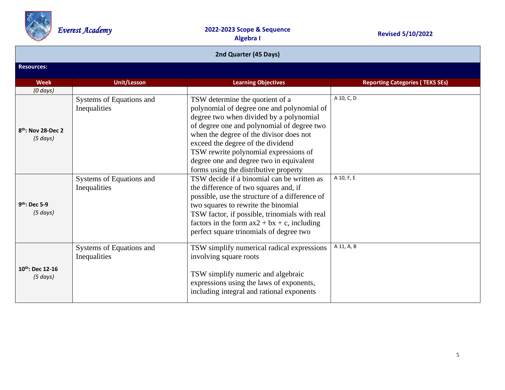

| 2nd Quarter (45 Days)                           |                                          |                                                                                                                                                                                                                                                                                                                                                                                     |                                        |  |  |
|-------------------------------------------------|------------------------------------------|-------------------------------------------------------------------------------------------------------------------------------------------------------------------------------------------------------------------------------------------------------------------------------------------------------------------------------------------------------------------------------------|----------------------------------------|--|--|
| <b>Resources:</b>                               |                                          |                                                                                                                                                                                                                                                                                                                                                                                     |                                        |  |  |
| <b>Week</b>                                     | <b>Unit/Lesson</b>                       | <b>Learning Objectives</b>                                                                                                                                                                                                                                                                                                                                                          | <b>Reporting Categories (TEKS SEs)</b> |  |  |
| $(0 \, days)$                                   |                                          |                                                                                                                                                                                                                                                                                                                                                                                     |                                        |  |  |
| 8 <sup>th</sup> : Nov 28-Dec 2<br>$(5 \, days)$ | Systems of Equations and<br>Inequalities | TSW determine the quotient of a<br>polynomial of degree one and polynomial of<br>degree two when divided by a polynomial<br>of degree one and polynomial of degree two<br>when the degree of the divisor does not<br>exceed the degree of the dividend<br>TSW rewrite polynomial expressions of<br>degree one and degree two in equivalent<br>forms using the distributive property | A 10, C, D                             |  |  |
| 9 <sup>th</sup> : Dec 5-9<br>(5 days)           | Systems of Equations and<br>Inequalities | TSW decide if a binomial can be written as<br>the difference of two squares and, if<br>possible, use the structure of a difference of<br>two squares to rewrite the binomial<br>TSW factor, if possible, trinomials with real<br>factors in the form $ax2 + bx + c$ , including<br>perfect square trinomials of degree two                                                          | A 10, F, E                             |  |  |
| $10^{th}$ : Dec 12-16<br>$(5 \, days)$          | Systems of Equations and<br>Inequalities | TSW simplify numerical radical expressions<br>involving square roots<br>TSW simplify numeric and algebraic<br>expressions using the laws of exponents,<br>including integral and rational exponents                                                                                                                                                                                 | A 11, A, B                             |  |  |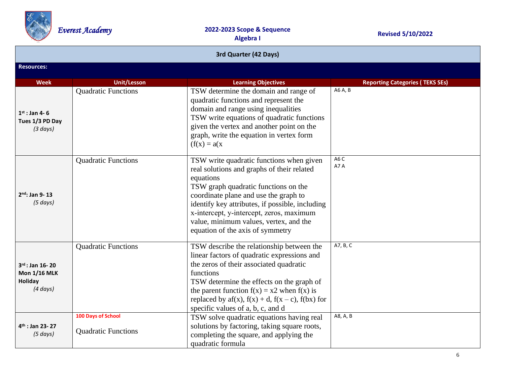

| 3rd Quarter (42 Days)                                                   |                                                  |                                                                                                                                                                                                                                                                                                                                                                   |                                        |
|-------------------------------------------------------------------------|--------------------------------------------------|-------------------------------------------------------------------------------------------------------------------------------------------------------------------------------------------------------------------------------------------------------------------------------------------------------------------------------------------------------------------|----------------------------------------|
| <b>Resources:</b>                                                       |                                                  |                                                                                                                                                                                                                                                                                                                                                                   |                                        |
| <b>Week</b>                                                             | <b>Unit/Lesson</b>                               | <b>Learning Objectives</b>                                                                                                                                                                                                                                                                                                                                        | <b>Reporting Categories (TEKS SEs)</b> |
| $1^{st}$ : Jan 4-6<br>Tues 1/3 PD Day<br>(3 days)                       | <b>Quadratic Functions</b>                       | TSW determine the domain and range of<br>quadratic functions and represent the<br>domain and range using inequalities<br>TSW write equations of quadratic functions<br>given the vertex and another point on the<br>graph, write the equation in vertex form<br>$(f(x)) = a(x)$                                                                                   | A6 A, B                                |
| $2nd$ : Jan 9-13<br>(5 days)                                            | <b>Quadratic Functions</b>                       | TSW write quadratic functions when given<br>real solutions and graphs of their related<br>equations<br>TSW graph quadratic functions on the<br>coordinate plane and use the graph to<br>identify key attributes, if possible, including<br>x-intercept, y-intercept, zeros, maximum<br>value, minimum values, vertex, and the<br>equation of the axis of symmetry | A6C<br>A7A                             |
| $3^{rd}$ : Jan 16-20<br><b>Mon 1/16 MLK</b><br>Holiday<br>$(4 \, days)$ | <b>Quadratic Functions</b>                       | TSW describe the relationship between the<br>linear factors of quadratic expressions and<br>the zeros of their associated quadratic<br>functions<br>TSW determine the effects on the graph of<br>the parent function $f(x) = x2$ when $f(x)$ is<br>replaced by $af(x)$ , $f(x) + d$ , $f(x - c)$ , $f(bx)$ for<br>specific values of a, b, c, and d               | A7, B, C                               |
| $4th$ : Jan 23-27<br>(5 days)                                           | 100 Days of School<br><b>Quadratic Functions</b> | TSW solve quadratic equations having real<br>solutions by factoring, taking square roots,<br>completing the square, and applying the<br>quadratic formula                                                                                                                                                                                                         | A8, A, B                               |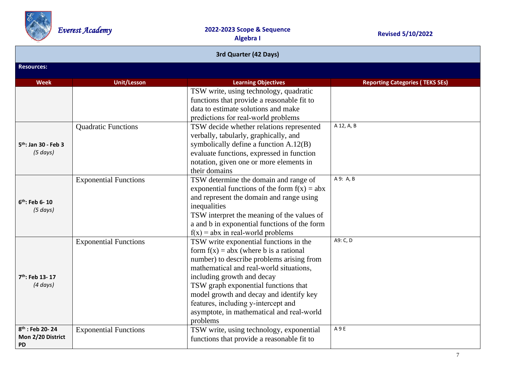

| 3rd Quarter (42 Days)                                         |                              |                                                                                                                                                                                                                                                                                                                                                                                             |                                        |  |  |
|---------------------------------------------------------------|------------------------------|---------------------------------------------------------------------------------------------------------------------------------------------------------------------------------------------------------------------------------------------------------------------------------------------------------------------------------------------------------------------------------------------|----------------------------------------|--|--|
| <b>Resources:</b>                                             |                              |                                                                                                                                                                                                                                                                                                                                                                                             |                                        |  |  |
| Week                                                          | <b>Unit/Lesson</b>           | <b>Learning Objectives</b>                                                                                                                                                                                                                                                                                                                                                                  | <b>Reporting Categories (TEKS SEs)</b> |  |  |
|                                                               |                              | TSW write, using technology, quadratic<br>functions that provide a reasonable fit to<br>data to estimate solutions and make<br>predictions for real-world problems                                                                                                                                                                                                                          |                                        |  |  |
| 5 <sup>th</sup> : Jan 30 - Feb 3<br>(5 days)                  | <b>Quadratic Functions</b>   | TSW decide whether relations represented<br>verbally, tabularly, graphically, and<br>symbolically define a function A.12(B)<br>evaluate functions, expressed in function<br>notation, given one or more elements in<br>their domains                                                                                                                                                        | A 12, A, B                             |  |  |
| $6th$ : Feb 6-10<br>(5 days)                                  | <b>Exponential Functions</b> | TSW determine the domain and range of<br>exponential functions of the form $f(x) = abx$<br>and represent the domain and range using<br>inequalities<br>TSW interpret the meaning of the values of<br>a and b in exponential functions of the form<br>$f(x) = abx$ in real-world problems                                                                                                    | A 9: A, B                              |  |  |
| 7 <sup>th</sup> : Feb 13-17<br>$(4 \, days)$                  | <b>Exponential Functions</b> | TSW write exponential functions in the<br>form $f(x) = abx$ (where b is a rational<br>number) to describe problems arising from<br>mathematical and real-world situations,<br>including growth and decay<br>TSW graph exponential functions that<br>model growth and decay and identify key<br>features, including y-intercept and<br>asymptote, in mathematical and real-world<br>problems | A9: C, D                               |  |  |
| 8 <sup>th</sup> : Feb 20-24<br>Mon 2/20 District<br><b>PD</b> | <b>Exponential Functions</b> | TSW write, using technology, exponential<br>functions that provide a reasonable fit to                                                                                                                                                                                                                                                                                                      | A 9 E                                  |  |  |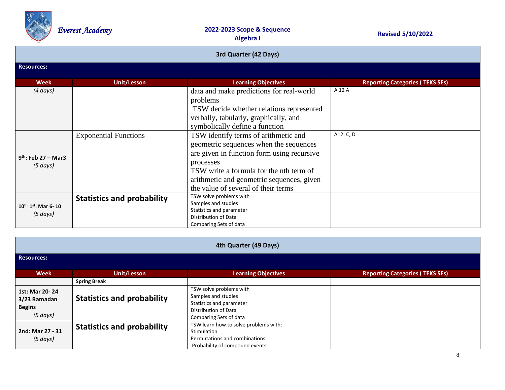

| 3rd Quarter (42 Days)       |                                   |                                            |                                        |  |
|-----------------------------|-----------------------------------|--------------------------------------------|----------------------------------------|--|
| <b>Resources:</b>           |                                   |                                            |                                        |  |
| <b>Week</b>                 | Unit/Lesson                       | <b>Learning Objectives</b>                 | <b>Reporting Categories (TEKS SEs)</b> |  |
| $(4 \, days)$               |                                   | data and make predictions for real-world   | A 12 A                                 |  |
|                             |                                   | problems                                   |                                        |  |
|                             |                                   | TSW decide whether relations represented   |                                        |  |
|                             |                                   | verbally, tabularly, graphically, and      |                                        |  |
|                             |                                   | symbolically define a function             |                                        |  |
|                             | <b>Exponential Functions</b>      | TSW identify terms of arithmetic and       | A12: C, D                              |  |
|                             |                                   | geometric sequences when the sequences     |                                        |  |
|                             |                                   | are given in function form using recursive |                                        |  |
| $9th$ : Feb 27 – Mar3       |                                   | processes                                  |                                        |  |
| $(5 \, days)$               |                                   | TSW write a formula for the nth term of    |                                        |  |
|                             |                                   | arithmetic and geometric sequences, given  |                                        |  |
|                             |                                   | the value of several of their terms        |                                        |  |
|                             | <b>Statistics and probability</b> | TSW solve problems with                    |                                        |  |
| $10^{th:}1^{st}$ : Mar 6-10 |                                   | Samples and studies                        |                                        |  |
| $(5 \, days)$               |                                   | Statistics and parameter                   |                                        |  |
|                             |                                   | Distribution of Data                       |                                        |  |
|                             |                                   | Comparing Sets of data                     |                                        |  |

| 4th Quarter (49 Days)                                       |                                   |                                                                                                                              |                                        |  |
|-------------------------------------------------------------|-----------------------------------|------------------------------------------------------------------------------------------------------------------------------|----------------------------------------|--|
| <b>Resources:</b>                                           |                                   |                                                                                                                              |                                        |  |
| <b>Week</b>                                                 | Unit/Lesson                       | <b>Learning Objectives</b>                                                                                                   | <b>Reporting Categories (TEKS SEs)</b> |  |
|                                                             | <b>Spring Break</b>               |                                                                                                                              |                                        |  |
| 1st: Mar 20-24<br>3/23 Ramadan<br><b>Begins</b><br>(5 days) | <b>Statistics and probability</b> | TSW solve problems with<br>Samples and studies<br>Statistics and parameter<br>Distribution of Data<br>Comparing Sets of data |                                        |  |
| 2nd: Mar 27 - 31<br>$(5 \, days)$                           | <b>Statistics and probability</b> | TSW learn how to solve problems with:<br>Stimulation<br>Permutations and combinations<br>Probability of compound events      |                                        |  |